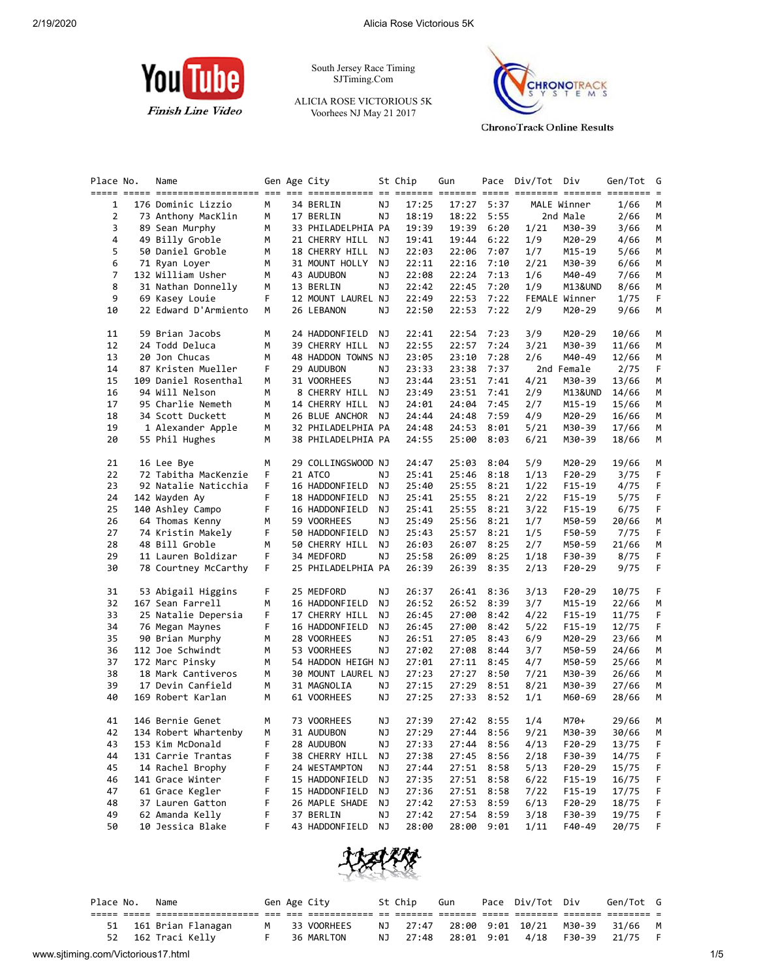

South Jersey Race Timing SJTiming.Com

ALICIA ROSE VICTORIOUS 5K Voorhees NJ May 21 2017



**ChronoTrack Online Results** 

| Place No. | Name                 |    | Gen Age City       |    | St Chip | Gun        |      | Pace Div/Tot Div |               | Gen/Tot        | G<br>$=$ |
|-----------|----------------------|----|--------------------|----|---------|------------|------|------------------|---------------|----------------|----------|
| 1         | 176 Dominic Lizzio   | м  | 34 BERLIN          | ΝJ | 17:25   | 17:27      | 5:37 |                  | MALE Winner   | 1/66           | М        |
| 2         | 73 Anthony MacKlin   | м  | 17 BERLIN          | ΝJ | 18:19   | 18:22      | 5:55 |                  | 2nd Male      | 2/66           | М        |
| 3         | 89 Sean Murphy       | м  | 33 PHILADELPHIA PA |    | 19:39   | 19:39      | 6:20 | 1/21             | M30-39        | 3/66           | M        |
| 4         | 49 Billy Groble      | м  | 21 CHERRY HILL     | ΝJ | 19:41   | 19:44      | 6:22 | 1/9              | M20-29        | 4/66           | М        |
| 5         | 50 Daniel Groble     | м  | 18 CHERRY HILL     | ΝJ | 22:03   | 22:06      | 7:07 | 1/7              | M15-19        | 5/66           | М        |
| 6         | 71 Ryan Loyer        | м  | 31 MOUNT HOLLY     | ΝJ | 22:11   | 22:16      | 7:10 | 2/21             | M30-39        | 6/66           | М        |
| 7         | 132 William Usher    | м  | 43 AUDUBON         | ΝJ | 22:08   | 22:24      | 7:13 | 1/6              | M40-49        | 7/66           | М        |
| 8         | 31 Nathan Donnelly   | м  | 13 BERLIN          | ΝJ | 22:42   | 22:45      | 7:20 | 1/9              | M13&UND       | 8/66           | М        |
| 9         | 69 Kasey Louie       | F. | 12 MOUNT LAUREL NJ |    | 22:49   | 22:53      | 7:22 |                  | FEMALE Winner | 1/75           | F.       |
| 10        | 22 Edward D'Armiento | М  | 26 LEBANON         | ΝJ | 22:50   | 22:53      | 7:22 | 2/9              | M20-29        | 9/66           | М        |
| 11        | 59 Brian Jacobs      | м  | 24 HADDONFIELD     | ΝJ | 22:41   | 22:54      | 7:23 | 3/9              | M20-29        | 10/66          | M        |
| 12        | 24 Todd Deluca       | м  | 39 CHERRY HILL     | ΝJ | 22:55   | 22:57      | 7:24 | 3/21             | M30-39        | 11/66          | М        |
| 13        | 20 Jon Chucas        | м  | 48 HADDON TOWNS NJ |    | 23:05   | 23:10      | 7:28 | 2/6              | M40-49        | 12/66          | М        |
| 14        | 87 Kristen Mueller   | F  | 29 AUDUBON         | ΝJ | 23:33   | 23:38      | 7:37 |                  | 2nd Female    | 2/75           | F        |
| 15        | 109 Daniel Rosenthal | м  | 31 VOORHEES        | ΝJ | 23:44   | 23:51      | 7:41 | 4/21             | M30-39        | 13/66          | М        |
| 16        | 94 Will Nelson       | м  | 8 CHERRY HILL      | ΝJ | 23:49   | 23:51      | 7:41 | 2/9              | M13&UND       | 14/66          | М        |
| 17        | 95 Charlie Nemeth    | м  | 14 CHERRY HILL     | NJ | 24:01   | 24:04      | 7:45 | 2/7              | M15-19        | 15/66          | М        |
| 18        | 34 Scott Duckett     | м  | 26 BLUE ANCHOR     | ΝJ | 24:44   | 24:48      | 7:59 | 4/9              | M20-29        | 16/66          | М        |
| 19        | 1 Alexander Apple    | м  | 32 PHILADELPHIA PA |    | 24:48   | 24:53      | 8:01 | 5/21             | M30-39        | 17/66          | М        |
| 20        | 55 Phil Hughes       | м  | 38 PHILADELPHIA PA |    | 24:55   | 25:00      | 8:03 | 6/21             | M30-39        | 18/66          | М        |
| 21        | 16 Lee Bye           | м  | 29 COLLINGSWOOD NJ |    | 24:47   | 25:03      | 8:04 | 5/9              | M20-29        | 19/66          | M        |
| 22        | 72 Tabitha MacKenzie | F  | 21 ATCO            | ΝJ | 25:41   | 25:46      | 8:18 | 1/13             | F20-29        | 3/75           | F        |
| 23        | 92 Natalie Naticchia | F  | 16 HADDONFIELD     | ΝJ | 25:40   | 25:55      | 8:21 | 1/22             | F15-19        | 4/75           | F        |
| 24        | 142 Wayden Ay        | F  | 18 HADDONFIELD     | ΝJ | 25:41   | 25:55      | 8:21 | 2/22             | F15-19        | 5/75           | F        |
| 25        | 140 Ashley Campo     | F  | 16 HADDONFIELD     | ΝJ | 25:41   | 25:55      | 8:21 | 3/22             | $F15-19$      | 6/75           | F        |
| 26        | 64 Thomas Kenny      | м  | 59 VOORHEES        | ΝJ | 25:49   | 25:56      | 8:21 | 1/7              | M50-59        | 20/66          | М        |
| 27        | 74 Kristin Makely    | F  | 50 HADDONFIELD     | ΝJ | 25:43   | 25:57      | 8:21 | 1/5              | F50-59        | 7/75           | F.       |
| 28        | 48 Bill Groble       | М  | 50 CHERRY HILL     | NJ | 26:03   | 26:07      | 8:25 | 2/7              | M50-59        | 21/66          | М        |
| 29        | 11 Lauren Boldizar   | F  | 34 MEDFORD         | ΝJ | 25:58   | 26:09      | 8:25 | 1/18             | F30-39        | 8/75           | F        |
| 30        | 78 Courtney McCarthy | F  | 25 PHILADELPHIA PA |    | 26:39   | 26:39      | 8:35 | 2/13             | F20-29        | 9/75           | F        |
| 31        | 53 Abigail Higgins   | F  | 25 MEDFORD         | ΝJ | 26:37   | 26:41      | 8:36 | 3/13             | F20-29        | 10/75          | F        |
| 32        | 167 Sean Farrell     | м  | 16 HADDONFIELD     | ΝJ | 26:52   | 26:52      | 8:39 | 3/7              | M15-19        | 22/66          | М        |
| 33        | 25 Natalie Depersia  | F  | 17 CHERRY HILL     | ΝJ | 26:45   | 27:00      | 8:42 | 4/22             | F15-19        | 11/75          | F.       |
| 34        | 76 Megan Maynes      | F  | 16 HADDONFIELD     | ΝJ | 26:45   | 27:00      | 8:42 | 5/22             | F15-19        | 12/75          | F        |
| 35        | 90 Brian Murphy      | М  | 28 VOORHEES        | ΝJ | 26:51   | 27:05      | 8:43 | 6/9              | M20-29        | 23/66          | М        |
| 36        | 112 Joe Schwindt     | м  | 53 VOORHEES        | ΝJ | 27:02   | 27:08      | 8:44 | 3/7              | M50-59        | 24/66          | М        |
| 37        | 172 Marc Pinsky      | м  | 54 HADDON HEIGH NJ |    | 27:01   | 27:11      | 8:45 | 4/7              | M50-59        | 25/66          | М        |
| 38        | 18 Mark Cantiveros   | м  | 30 MOUNT LAUREL NJ |    | 27:23   | 27:27      | 8:50 | 7/21             | M30-39        | 26/66          | М        |
| 39        | 17 Devin Canfield    | м  | 31 MAGNOLIA        | ΝJ | 27:15   | 27:29      | 8:51 | 8/21             | M30-39        | 27/66          | M        |
| 40        | 169 Robert Karlan    | м  | 61 VOORHEES        | ΝJ | 27:25   | 27:33      | 8:52 | 1/1              | M60-69        | 28/66          | М        |
| 41        | 146 Bernie Genet     | м  | 73 VOORHEES        | ΝJ | 27:39   | 27:42 8:55 |      | 1/4              | M70+          | 29/66          | M        |
| 42        | 134 Robert Whartenby | м  | 31 AUDUBON         | ΝJ | 27:29   | 27:44      | 8:56 | 9/21             | M30-39        | 30/66          | М        |
| 43        | 153 Kim McDonald     | F  | 28 AUDUBON         | ΝJ | 27:33   | 27:44      | 8:56 | 4/13             | F20-29        | 13/75          | F        |
| 44        | 131 Carrie Trantas   | F  | 38 CHERRY HILL     | ΝJ | 27:38   | 27:45      | 8:56 | 2/18             | F30-39        | 14/75          | F        |
| 45        | 14 Rachel Brophy     | F  | 24 WESTAMPTON      | ΝJ | 27:44   | 27:51      | 8:58 | 5/13             | F20-29        | 15/75          | F        |
| 46        | 141 Grace Winter     | F  | 15 HADDONFIELD     | ΝJ | 27:35   | 27:51      | 8:58 | 6/22             | F15-19        | 16/75          | F        |
| 47        | 61 Grace Kegler      | F  | 15 HADDONFIELD     | ΝJ | 27:36   | 27:51      | 8:58 | 7/22             | F15-19        | 17/75          | F        |
| 48        | 37 Lauren Gatton     | F  | 26 MAPLE SHADE     | ΝJ | 27:42   | 27:53      | 8:59 | 6/13             | F20-29        | 18/75<br>19/75 | F        |
| 49        | 62 Amanda Kelly      | F  | 37 BERLIN          | ΝJ | 27:42   | 27:54      | 8:59 | 3/18             | F30-39        |                | F        |
| 50        | 10 Jessica Blake     | F  | 43 HADDONFIELD     | ΝJ | 28:00   | 28:00      | 9:01 | 1/11             | F40-49        | 20/75          | F        |



|                                    | Place No. | Name |                    |  | Gen Age City  | St Chip | Gun | Pace Div/Tot Div                 |        | Gen/Tot G |     |
|------------------------------------|-----------|------|--------------------|--|---------------|---------|-----|----------------------------------|--------|-----------|-----|
|                                    |           |      |                    |  |               |         |     |                                  |        |           |     |
|                                    | 51        |      | 161 Brian Flanagan |  | M 33 VOORHEES |         |     | NJ 27:47 28:00 9:01 10/21 M30-39 |        | 31/66 M   |     |
|                                    |           |      | 52 162 Traci Kelly |  | 36 MARLTON    |         |     | NJ 27:48 28:01 9:01 4/18         | F30-39 | 21/75     |     |
| www.sjtiming.com/Victorious17.html |           |      |                    |  |               |         |     |                                  |        |           | 1/5 |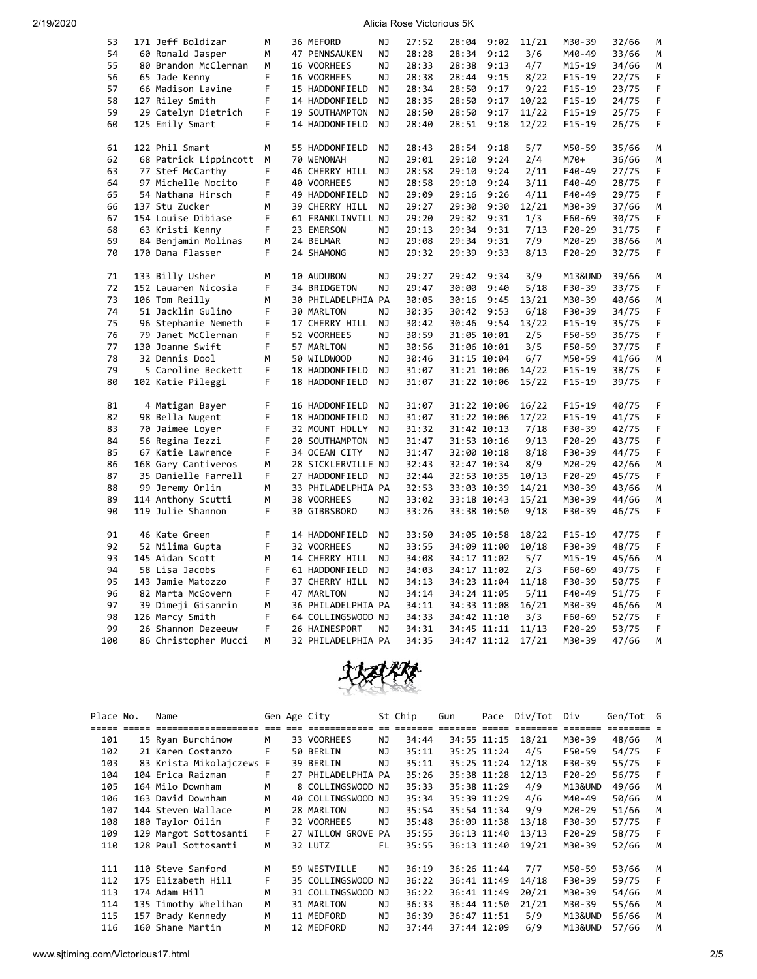| 53  | 171 Jeff Boldizar     | M  | 36 MEFORD          | NJ        | 27:52 | 28:04       | 9:02 | 11/21 | M30-39   | 32/66 | М |
|-----|-----------------------|----|--------------------|-----------|-------|-------------|------|-------|----------|-------|---|
| 54  | 60 Ronald Jasper      | М  | 47 PENNSAUKEN      | ΝJ        | 28:28 | 28:34       | 9:12 | 3/6   | M40-49   | 33/66 | М |
| 55  | 80 Brandon McClernan  | М  | 16 VOORHEES        | ΝJ        | 28:33 | 28:38       | 9:13 | 4/7   | M15-19   | 34/66 | М |
| 56  | 65 Jade Kenny         | F  | 16 VOORHEES        | <b>NJ</b> | 28:38 | 28:44       | 9:15 | 8/22  | $F15-19$ | 22/75 | F |
| 57  | 66 Madison Lavine     | F. | 15 HADDONFIELD     | NJ        | 28:34 | 28:50       | 9:17 | 9/22  | $F15-19$ | 23/75 | F |
| 58  | 127 Riley Smith       | F  | 14 HADDONFIELD     | <b>NJ</b> | 28:35 | 28:50       | 9:17 | 10/22 | $F15-19$ | 24/75 | F |
| 59  | 29 Catelyn Dietrich   | F  | 19 SOUTHAMPTON     | ΝJ        | 28:50 | 28:50       | 9:17 | 11/22 | F15-19   | 25/75 | F |
| 60  | 125 Emily Smart       | F  | 14 HADDONFIELD     | NJ        | 28:40 | 28:51       | 9:18 | 12/22 | $F15-19$ | 26/75 | F |
|     |                       |    |                    |           |       |             |      |       |          |       |   |
| 61  | 122 Phil Smart        | М  | 55 HADDONFIELD     | ΝJ        | 28:43 | 28:54       | 9:18 | 5/7   | M50-59   | 35/66 | М |
| 62  | 68 Patrick Lippincott | М  | 70 WENONAH         | <b>NJ</b> | 29:01 | 29:10       | 9:24 | 2/4   | M70+     | 36/66 | М |
| 63  | 77 Stef McCarthy      | F  | 46 CHERRY HILL     | NJ        | 28:58 | 29:10       | 9:24 | 2/11  | F40-49   | 27/75 | F |
| 64  | 97 Michelle Nocito    | F  | 40 VOORHEES        | NJ        | 28:58 | 29:10       | 9:24 | 3/11  | F40-49   | 28/75 | F |
| 65  | 54 Nathana Hirsch     | F  | 49 HADDONFIELD     | <b>NJ</b> | 29:09 | 29:16       | 9:26 | 4/11  | F40-49   | 29/75 | F |
| 66  | 137 Stu Zucker        | м  | 39 CHERRY HILL     | <b>NJ</b> | 29:27 | 29:30       | 9:30 | 12/21 | M30-39   | 37/66 | М |
| 67  | 154 Louise Dibiase    | F  | 61 FRANKLINVILL NJ |           | 29:20 | 29:32       | 9:31 | 1/3   | F60-69   | 30/75 | F |
| 68  | 63 Kristi Kenny       | F  | 23 EMERSON         | NJ        | 29:13 | 29:34       | 9:31 | 7/13  | F20-29   | 31/75 | F |
| 69  | 84 Benjamin Molinas   | М  | 24 BELMAR          | ΝJ        | 29:08 | 29:34       | 9:31 | 7/9   | M20-29   | 38/66 | М |
| 70  | 170 Dana Flasser      | F. | 24 SHAMONG         | NJ        | 29:32 | 29:39       | 9:33 | 8/13  | F20-29   | 32/75 | F |
|     |                       |    |                    |           |       |             |      |       |          |       |   |
| 71  | 133 Billy Usher       | М  | 10 AUDUBON         | ΝJ        | 29:27 | 29:42       | 9:34 | 3/9   | M13&UND  | 39/66 | М |
| 72  | 152 Lauaren Nicosia   | F  | 34 BRIDGETON       | ΝJ        | 29:47 | 30:00       | 9:40 | 5/18  | F30-39   | 33/75 | F |
| 73  | 106 Tom Reilly        | м  | 30 PHILADELPHIA PA |           | 30:05 | 30:16       | 9:45 | 13/21 | M30-39   | 40/66 | М |
| 74  | 51 Jacklin Gulino     | F  | 30 MARLTON         | NJ        | 30:35 | 30:42       | 9:53 | 6/18  | F30-39   | 34/75 | F |
| 75  | 96 Stephanie Nemeth   | F  | 17 CHERRY HILL     | ΝJ        | 30:42 | 30:46 9:54  |      | 13/22 | $F15-19$ | 35/75 | F |
| 76  | 79 Janet McClernan    | F  | 52 VOORHEES        | ΝJ        | 30:59 | 31:05 10:01 |      | 2/5   | F50-59   | 36/75 | F |
| 77  | 130 Joanne Swift      | F  | 57 MARLTON         | ΝJ        | 30:56 | 31:06 10:01 |      | 3/5   | F50-59   | 37/75 | F |
| 78  | 32 Dennis Dool        | M  | 50 WILDWOOD        | NJ        | 30:46 | 31:15 10:04 |      | 6/7   | M50-59   | 41/66 | M |
| 79  | 5 Caroline Beckett    | F  | 18 HADDONFIELD     | NJ        | 31:07 | 31:21 10:06 |      | 14/22 | $F15-19$ | 38/75 | F |
| 80  | 102 Katie Pileggi     | F  | 18 HADDONFIELD     | NJ        | 31:07 | 31:22 10:06 |      | 15/22 | $F15-19$ | 39/75 | F |
|     |                       |    |                    |           |       |             |      |       |          |       |   |
| 81  | 4 Matigan Bayer       | F  | 16 HADDONFIELD     | NJ        | 31:07 | 31:22 10:06 |      | 16/22 | $F15-19$ | 40/75 | F |
| 82  | 98 Bella Nugent       | F  | 18 HADDONFIELD     | NJ        | 31:07 | 31:22 10:06 |      | 17/22 | $F15-19$ | 41/75 | F |
| 83  | 70 Jaimee Loyer       | F  | 32 MOUNT HOLLY     | ΝJ        | 31:32 | 31:42 10:13 |      | 7/18  | F30-39   | 42/75 | F |
| 84  | 56 Regina Iezzi       | F  | 20 SOUTHAMPTON     | NJ        | 31:47 | 31:53 10:16 |      | 9/13  | $F20-29$ | 43/75 | F |
| 85  | 67 Katie Lawrence     | F  | 34 OCEAN CITY      | <b>NJ</b> | 31:47 | 32:00 10:18 |      | 8/18  | F30-39   | 44/75 | F |
| 86  | 168 Gary Cantiveros   | М  | 28 SICKLERVILLE NJ |           | 32:43 | 32:47 10:34 |      | 8/9   | M20-29   | 42/66 | М |
| 87  | 35 Danielle Farrell   | F  | 27 HADDONFIELD     | NJ        | 32:44 | 32:53 10:35 |      | 10/13 | F20-29   | 45/75 | F |
| 88  | 99 Jeremy Orlin       | м  | 33 PHILADELPHIA PA |           | 32:53 | 33:03 10:39 |      | 14/21 | M30-39   | 43/66 | М |
| 89  | 114 Anthony Scutti    | М  | 38 VOORHEES        | ΝJ        | 33:02 | 33:18 10:43 |      | 15/21 | M30-39   | 44/66 | М |
| 90  | 119 Julie Shannon     | F  | 30 GIBBSBORO       | NJ        | 33:26 | 33:38 10:50 |      | 9/18  | F30-39   | 46/75 | F |
|     |                       |    |                    |           |       |             |      |       |          |       |   |
| 91  | 46 Kate Green         | F  | 14 HADDONFIELD     | NJ.       | 33:50 | 34:05 10:58 |      | 18/22 | $F15-19$ | 47/75 | F |
| 92  | 52 Nilima Gupta       | F  | 32 VOORHEES        | NJ        | 33:55 | 34:09 11:00 |      | 10/18 | F30-39   | 48/75 | F |
| 93  | 145 Aidan Scott       | М  | 14 CHERRY HILL     | NJ        | 34:08 | 34:17 11:02 |      | 5/7   | M15-19   | 45/66 | М |
| 94  | 58 Lisa Jacobs        | F  | 61 HADDONFIELD     | NJ        | 34:03 | 34:17 11:02 |      | 2/3   | F60-69   | 49/75 | F |
| 95  | 143 Jamie Matozzo     | F  | 37 CHERRY HILL     | <b>NJ</b> | 34:13 | 34:23 11:04 |      | 11/18 | F30-39   | 50/75 | F |
| 96  | 82 Marta McGovern     | F  | 47 MARLTON         | NJ        | 34:14 | 34:24 11:05 |      | 5/11  | F40-49   | 51/75 | F |
| 97  | 39 Dimeji Gisanrin    | М  | 36 PHILADELPHIA PA |           | 34:11 | 34:33 11:08 |      | 16/21 | M30-39   | 46/66 | М |
| 98  | 126 Marcy Smith       | F  | 64 COLLINGSWOOD NJ |           | 34:33 | 34:42 11:10 |      | 3/3   | F60-69   | 52/75 | F |
| 99  | 26 Shannon Dezeeuw    | F  | 26 HAINESPORT      | NJ        | 34:31 | 34:45 11:11 |      | 11/13 | F20-29   | 53/75 | F |
| 100 | 86 Christopher Mucci  | М  | 32 PHILADELPHIA PA |           | 34:35 | 34:47 11:12 |      | 17/21 | M30-39   | 47/66 | M |



| Place No. | Name                     |    | Gen Age City       |     | St Chip | Gun | Pace        | Div/Tot | Div      | Gen/Tot G |   |
|-----------|--------------------------|----|--------------------|-----|---------|-----|-------------|---------|----------|-----------|---|
|           | ==================       |    | ========           |     |         |     |             |         | ======   |           |   |
| 101       | 15 Ryan Burchinow        | м  | 33 VOORHEES        | ΝJ  | 34:44   |     | 34:55 11:15 | 18/21   | M30-39   | 48/66     | M |
| 102       | 21 Karen Costanzo        | F  | 50 BERLIN          | NJ  | 35:11   |     | 35:25 11:24 | 4/5     | F50-59   | 54/75     | F |
| 103       | 83 Krista Mikolajczews F |    | 39 BERLIN          | ΝJ  | 35:11   |     | 35:25 11:24 | 12/18   | F30-39   | 55/75     | F |
| 104       | 104 Erica Raizman        | F  | 27 PHILADELPHIA PA |     | 35:26   |     | 35:38 11:28 | 12/13   | $F20-29$ | 56/75     | F |
| 105       | 164 Milo Downham         | M  | 8 COLLINGSWOOD NJ  |     | 35:33   |     | 35:38 11:29 | 4/9     | M13&UND  | 49/66     | м |
| 106       | 163 David Downham        | M  | 40 COLLINGSWOOD NJ |     | 35:34   |     | 35:39 11:29 | 4/6     | M40-49   | 50/66     | M |
| 107       | 144 Steven Wallace       | М  | 28 MARLTON         | NJ. | 35:54   |     | 35:54 11:34 | 9/9     | M20-29   | 51/66     | M |
| 108       | 180 Taylor Oilin         | F  | 32 VOORHEES        | NJ. | 35:48   |     | 36:09 11:38 | 13/18   | F30-39   | 57/75     | F |
| 109       | 129 Margot Sottosanti    | F. | 27 WILLOW GROVE PA |     | 35:55   |     | 36:13 11:40 | 13/13   | $F20-29$ | 58/75     | F |
| 110       | 128 Paul Sottosanti      | М  | 32 LUTZ            | FL  | 35:55   |     | 36:13 11:40 | 19/21   | M30-39   | 52/66     | M |
|           |                          |    |                    |     |         |     |             |         |          |           |   |
| 111       | 110 Steve Sanford        | м  | 59 WESTVILLE       | NJ. | 36:19   |     | 36:26 11:44 | 7/7     | M50-59   | 53/66     | м |
| 112       | 175 Elizabeth Hill       | F  | 35 COLLINGSWOOD NJ |     | 36:22   |     | 36:41 11:49 | 14/18   | F30-39   | 59/75     |   |
| 113       | 174 Adam Hill            | м  | 31 COLLINGSWOOD NJ |     | 36:22   |     | 36:41 11:49 | 20/21   | M30-39   | 54/66     | м |
| 114       | 135 Timothy Whelihan     | M  | 31 MARLTON         | ΝJ  | 36:33   |     | 36:44 11:50 | 21/21   | M30-39   | 55/66     | м |
| 115       | 157 Brady Kennedy        | м  | 11 MEDFORD         | ΝJ  | 36:39   |     | 36:47 11:51 | 5/9     | M13&UND  | 56/66     | м |
| 116       | 160 Shane Martin         | м  | 12 MEDFORD         | NJ  | 37:44   |     | 37:44 12:09 | 6/9     | M13&UND  | 57/66     | м |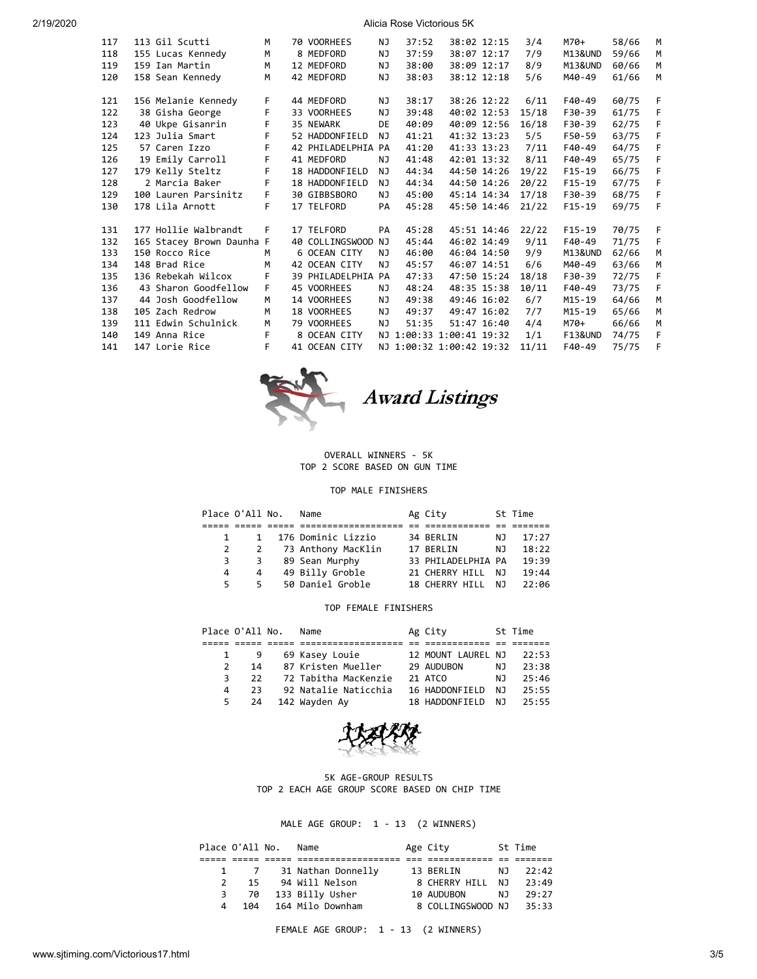| 117 | 113 Gil Scutti            | м  | 70 VOORHEES     | ΝJ  | 37:52                    | 38:02 12:15 | 3/4   | $M70+$             | 58/66 | M |
|-----|---------------------------|----|-----------------|-----|--------------------------|-------------|-------|--------------------|-------|---|
| 118 | 155 Lucas Kennedy         | м  | 8 MEDFORD       | NJ  | 37:59                    | 38:07 12:17 | 7/9   | M13&UND            | 59/66 | M |
| 119 | 159 Ian Martin            | M  | 12 MEDFORD      | NJ  | 38:00                    | 38:09 12:17 | 8/9   | M13&UND            | 60/66 | M |
| 120 | 158 Sean Kennedy          | м  | 42 MEDFORD      | NJ  | 38:03                    | 38:12 12:18 | 5/6   | M40-49             | 61/66 | M |
|     |                           |    |                 |     |                          |             |       |                    |       |   |
| 121 | 156 Melanie Kennedy       | F  | 44 MEDFORD      | NJ  | 38:17                    | 38:26 12:22 | 6/11  | F40-49             | 60/75 | F |
| 122 | 38 Gisha George           | F  | 33 VOORHEES     | NJ  | 39:48                    | 40:02 12:53 | 15/18 | F30-39             | 61/75 | F |
| 123 | 40 Ukpe Gisanrin          | F  | 35 NEWARK       | DE  | 40:09                    | 40:09 12:56 | 16/18 | F30-39             | 62/75 | F |
| 124 | 123 Julia Smart           | F  | 52 HADDONFIELD  | NJ  | 41:21                    | 41:32 13:23 | 5/5   | F50-59             | 63/75 | F |
| 125 | 57 Caren Izzo             | F  | 42 PHILADELPHIA | PA  | 41:20                    | 41:33 13:23 | 7/11  | F40-49             | 64/75 | F |
| 126 | 19 Emily Carroll          | F  | 41 MEDFORD      | NJ. | 41:48                    | 42:01 13:32 | 8/11  | $F40-49$           | 65/75 | F |
| 127 | 179 Kelly Steltz          | F  | 18 HADDONFIELD  | NJ  | 44:34                    | 44:50 14:26 | 19/22 | $F15-19$           | 66/75 | F |
| 128 | 2 Marcia Baker            | F  | 18 HADDONFIELD  | NJ  | 44:34                    | 44:50 14:26 | 20/22 | $F15-19$           | 67/75 | F |
| 129 | 100 Lauren Parsinitz      | F. | 30 GIBBSBORO    | NJ  | 45:00                    | 45:14 14:34 | 17/18 | F30-39             | 68/75 | F |
| 130 | 178 Lila Arnott           | F  | 17 TELFORD      | PA  | 45:28                    | 45:50 14:46 | 21/22 | $F15-19$           | 69/75 | F |
|     |                           |    |                 |     |                          |             |       |                    |       |   |
| 131 | 177 Hollie Walbrandt      | F  | 17 TELFORD      | PA  | 45:28                    | 45:51 14:46 | 22/22 | $F15-19$           | 70/75 | F |
| 132 | 165 Stacey Brown Daunha F |    | 40 COLLINGSWOOD | NJ  | 45:44                    | 46:02 14:49 | 9/11  | F40-49             | 71/75 | F |
| 133 | 150 Rocco Rice            | м  | 6 OCEAN CITY    | NJ. | 46:00                    | 46:04 14:50 | 9/9   | M13&UND            | 62/66 | M |
| 134 | 148 Brad Rice             | M  | 42 OCEAN CITY   | NJ. | 45:57                    | 46:07 14:51 | 6/6   | M40-49             | 63/66 | M |
| 135 | 136 Rebekah Wilcox        | F  | 39 PHILADELPHIA | PA  | 47:33                    | 47:50 15:24 | 18/18 | F30-39             | 72/75 | F |
| 136 | 43 Sharon Goodfellow      | F. | 45 VOORHEES     | NJ  | 48:24                    | 48:35 15:38 | 10/11 | F40-49             | 73/75 | F |
| 137 | 44 Josh Goodfellow        | M  | 14 VOORHEES     | NJ  | 49:38                    | 49:46 16:02 | 6/7   | $M15 - 19$         | 64/66 | M |
| 138 | 105 Zach Redrow           | M  | 18 VOORHEES     | NJ  | 49:37                    | 49:47 16:02 | 7/7   | $M15 - 19$         | 65/66 | M |
| 139 | 111 Edwin Schulnick       | M  | 79 VOORHEES     | NJ  | 51:35                    | 51:47 16:40 | 4/4   | M70+               | 66/66 | M |
| 140 | 149 Anna Rice             | F. | 8 OCEAN CITY    |     | NJ 1:00:33 1:00:41 19:32 |             | 1/1   | <b>F13&amp;UND</b> | 74/75 | F |
| 141 | 147 Lorie Rice            | F  | 41 OCEAN CITY   |     | NJ 1:00:32 1:00:42 19:32 |             | 11/11 | F40-49             | 75/75 | F |
|     |                           |    |                 |     |                          |             |       |                    |       |   |



### OVERALL WINNERS - 5K TOP 2 SCORE BASED ON GUN TIME

### TOP MALE FINISHERS

|    | Place O'All No. | Name                 | Ag City            |     | St Time |
|----|-----------------|----------------------|--------------------|-----|---------|
|    |                 |                      |                    |     |         |
|    |                 | 1 176 Dominic Lizzio | 34 BERLIN          | NJ. | 17:27   |
|    | 2               | 73 Anthony MacKlin   | 17 BERLIN          | N J | 18:22   |
| 3  | 3               | 89 Sean Murphy       | 33 PHILADELPHIA PA |     | 19:39   |
| 4  | 4               | 49 Billy Groble      | 21 CHERRY HILL     | N J | 19:44   |
| 5. | 5.              | 50 Daniel Groble     | 18 CHERRY HILL     | N J | 22:06   |

#### TOP FEMALE FINISHERS

|               | Place O'All No. | Name                 | Ag City            |     | St Time |
|---------------|-----------------|----------------------|--------------------|-----|---------|
|               |                 |                      |                    |     |         |
|               | 9               | 69 Kasey Louie       | 12 MOUNT LAUREL NJ |     | 22:53   |
| $\mathcal{P}$ | 14              | 87 Kristen Mueller   | 29 AUDUBON         | NJ  | 23:38   |
|               | 22              | 72 Tabitha MacKenzie | 21 ATCO            | N J | 25:46   |
| 4             | 23              | 92 Natalie Naticchia | 16 HADDONFIELD     | N٦  | 25:55   |
| 5.            | -24             | 142 Wayden Ay        | 18 HADDONFIELD     | N T | 25:55   |



5K AGE-GROUP RESULTS TOP 2 EACH AGE GROUP SCORE BASED ON CHIP TIME

# MALE AGE GROUP: 1 - 13 (2 WINNERS)

|               | Place O'All No. | Name               | Age City          |     | St Time |
|---------------|-----------------|--------------------|-------------------|-----|---------|
|               |                 |                    |                   |     |         |
|               |                 | 31 Nathan Donnelly | 13 BERLIN         | N J | 22:42   |
| $\mathcal{P}$ | 15              | 94 Will Nelson     | 8 CHERRY HILL NJ  |     | 23:49   |
| 3             | 70              | 133 Billy Usher    | 10 AUDUBON        | N J | 29:27   |
| 4             | 104             | 164 Milo Downham   | 8 COLLINGSWOOD NJ |     | 35:33   |

FEMALE AGE GROUP: 1 - 13 (2 WINNERS)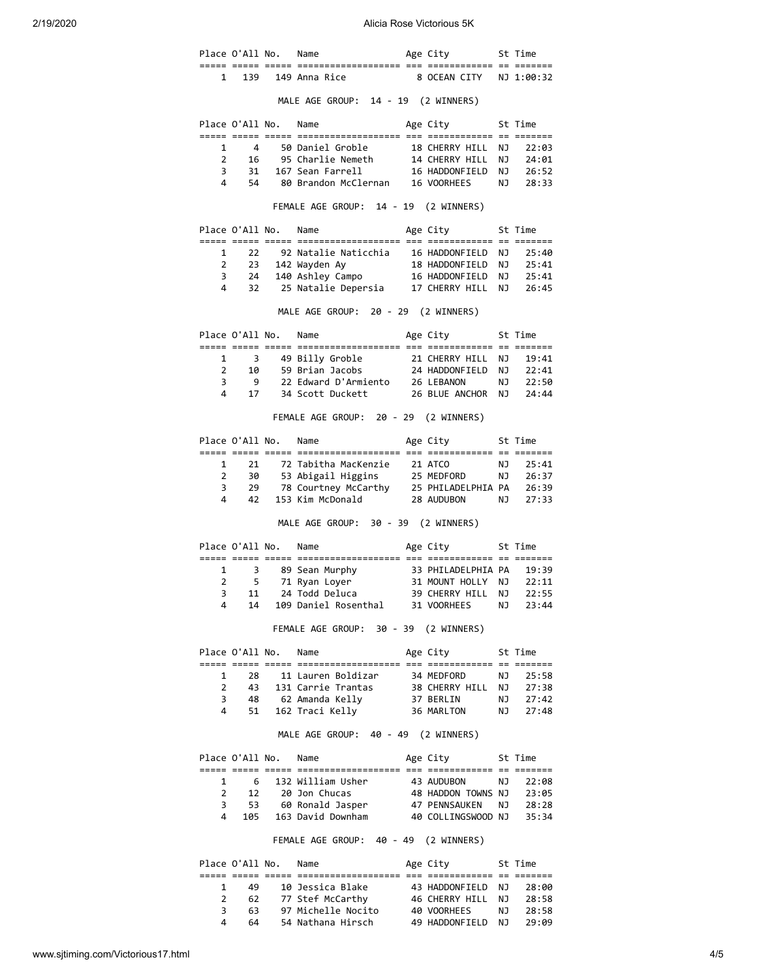|                |                 | Place O'All No. Name |                                                                                                                                                                                      | Age City 5t Time                         |           |                      |
|----------------|-----------------|----------------------|--------------------------------------------------------------------------------------------------------------------------------------------------------------------------------------|------------------------------------------|-----------|----------------------|
|                |                 |                      | 1 139 149 Anna Rice                                                                                                                                                                  | 8 OCEAN CITY NJ 1:00:32                  |           |                      |
|                |                 |                      | MALE AGE GROUP: 14 - 19 (2 WINNERS)                                                                                                                                                  |                                          |           |                      |
|                |                 |                      | Place O'All No. Name                                                                                                                                                                 | Age City 5t Time                         |           |                      |
| 1              |                 |                      |                                                                                                                                                                                      |                                          |           |                      |
| $\overline{2}$ |                 |                      |                                                                                                                                                                                      |                                          |           | NJ 22:03<br>NJ 24:01 |
| 3              | 31              |                      | 167 Sean Farrell                                                                                                                                                                     | 16 HADDONFIELD                           |           | NJ 26:52             |
| 4              | 54              |                      | 80 Brandon McClernan 16 VOORHEES                                                                                                                                                     |                                          | <b>NJ</b> | 28:33                |
|                |                 |                      | FEMALE AGE GROUP: 14 - 19 (2 WINNERS)                                                                                                                                                |                                          |           |                      |
|                |                 |                      | Place O'All No. Name                                                                                                                                                                 | Age City 5t Time                         |           |                      |
|                |                 |                      |                                                                                                                                                                                      |                                          |           |                      |
| 1              | -22             |                      | 92 Natalie Naticchia 16 HADDONFIELD                                                                                                                                                  |                                          | NJ 1      | 25:40                |
| $\mathbf{2}$   |                 |                      |                                                                                                                                                                                      |                                          |           |                      |
| 3              |                 |                      |                                                                                                                                                                                      |                                          |           | NJ 25:41<br>NJ 25:41 |
| 4              | 32              |                      | 25 Natalie Depersia 17 CHERRY HILL                                                                                                                                                   |                                          | <b>NJ</b> | 26:45                |
|                |                 |                      | MALE AGE GROUP: 20 - 29 (2 WINNERS)                                                                                                                                                  |                                          |           |                      |
|                |                 |                      | Place O'All No. Name                                                                                                                                                                 | Age City 5t Time                         |           |                      |
|                |                 |                      |                                                                                                                                                                                      |                                          |           |                      |
| $\mathbf{1}$   |                 |                      | 3 49 Billy Groble 21 CHERRY HILL NJ 19:41                                                                                                                                            |                                          |           |                      |
|                | $2 \t10$        |                      | 59 Brian Jacobs                                                                                                                                                                      | 24 HADDONFIELD                           |           |                      |
| 3              | 9               |                      | 22 Edward D'Armiento 26 LEBANON                                                                                                                                                      |                                          |           | NJ 22:41<br>NJ 22:50 |
| 4              | 17              |                      | 34 Scott Duckett 26 BLUE ANCHOR                                                                                                                                                      |                                          |           | $NJ = 24:44$         |
|                |                 |                      | FEMALE AGE GROUP: 20 - 29 (2 WINNERS)                                                                                                                                                |                                          |           |                      |
|                |                 |                      | Place O'All No. Name                                                                                                                                                                 | Age City                                 |           | St Time              |
|                |                 |                      |                                                                                                                                                                                      |                                          |           |                      |
| 1              |                 |                      |                                                                                                                                                                                      |                                          |           |                      |
| $\overline{2}$ |                 |                      |                                                                                                                                                                                      |                                          |           |                      |
|                | $\overline{3}$  |                      |                                                                                                                                                                                      |                                          |           |                      |
| 4              |                 |                      | 21 72 Tabitha MacKenzie 21 ATCO NJ 25:41<br>30 53 Abigail Higgins 25 MEDFORD NJ 26:37<br>29 78 Courtney McCarthy 25 PHILADELPHIA PA 26:39<br>42 153 Kim McDonald 28 AUDUBON NJ 27:33 |                                          |           |                      |
|                |                 |                      | MALE AGE GROUP: 30 - 39 (2 WINNERS)                                                                                                                                                  |                                          |           |                      |
|                |                 |                      | Place O'All No. Name                                                                                                                                                                 | Age City 5t Time                         |           |                      |
| 1              |                 |                      |                                                                                                                                                                                      |                                          |           | 19:39                |
| $\overline{2}$ | - 5             |                      | 3 89 Sean Murphy 33 PHILADELPHIA PA<br>5 71 Ryan Loyer 31 MOUNT HOLLY NJ<br>71 Ryan Loyer                                                                                            |                                          |           | 22:11                |
|                |                 |                      | 3 11 24 Todd Deluca 39 CHERRY HILL NJ 22:55                                                                                                                                          |                                          |           |                      |
| 4              | 14              |                      | 109 Daniel Rosenthal 31 VOORHEES                                                                                                                                                     |                                          | NJ 1      | 23:44                |
|                |                 |                      | FEMALE AGE GROUP: 30 - 39 (2 WINNERS)                                                                                                                                                |                                          |           |                      |
|                |                 | Place O'All No. Name |                                                                                                                                                                                      | Age City 5t Time                         |           |                      |
| 1              |                 | 28 —                 | 11 Lauren Boldizar                                                                                                                                                                   | 34 MEDFORD                               | <b>NJ</b> | 25:58                |
| $\overline{2}$ |                 |                      | 43 131 Carrie Trantas                                                                                                                                                                |                                          |           |                      |
| 3              | 48              |                      | 62 Amanda Kelly                                                                                                                                                                      |                                          |           |                      |
| 4              | 51              |                      | 162 Traci Kelly 36 MARLTON                                                                                                                                                           |                                          | NJ        | 27:48                |
|                |                 |                      | MALE AGE GROUP: 40 - 49 (2 WINNERS)                                                                                                                                                  |                                          |           |                      |
|                |                 | Place O'All No.      | Name                                                                                                                                                                                 | Age City                                 |           | St Time              |
|                |                 |                      |                                                                                                                                                                                      |                                          |           |                      |
|                |                 |                      |                                                                                                                                                                                      | 43 AUDUBON                               |           | NJ 22:08             |
|                | $2 \rightarrow$ |                      | 12 20 Jon Chucas                                                                                                                                                                     |                                          |           | 23:05                |
| 3              | 53              |                      | 60 Ronald Jasper                                                                                                                                                                     | 48 HADDON TOWNS NJ<br>47 PENNSAUKEN   NJ |           | 28:28                |
| 4              |                 |                      | 105 163 David Downham 40 COLLINGSWOOD NJ                                                                                                                                             |                                          |           | 35:34                |
|                |                 |                      | FEMALE AGE GROUP: 40 - 49 (2 WINNERS)                                                                                                                                                |                                          |           |                      |
|                | Place O'All No. |                      | Name                                                                                                                                                                                 | Age City                                 |           | St Time              |
|                |                 |                      |                                                                                                                                                                                      |                                          |           |                      |
| 1              | 49              |                      | 10 Jessica Blake                                                                                                                                                                     | 43 HADDONFIELD<br>46 CHERRY HILL         | NJ 1      | 28:00                |
| $\overline{2}$ | 62              |                      | 77 Stef McCarthy                                                                                                                                                                     |                                          | <b>NJ</b> | 28:58                |
| 3              | 63              |                      | 97 Michelle Nocito 40 VOORHEES                                                                                                                                                       |                                          | NJ<br>NJ  | 28:58                |
| 4              | 64              |                      | 54 Nathana Hirsch                                                                                                                                                                    | 49 HADDONFIELD                           |           | 29:09                |

4 64 54 Nathana Hirsch 49 HADDONFIELD NJ 29:09